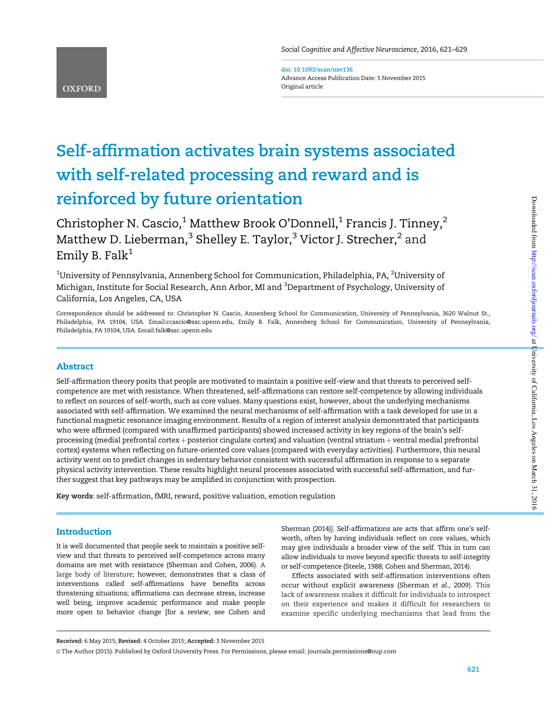doi: 10.1093/scan/nsv136 Advance Access Publication Date: 5 November 2015 Original article

# Self-affirmation activates brain systems associated with self-related processing and reward and is reinforced by future orientation

Christopher N. Cascio, $1$  Matthew Brook O'Donnell, $1$  Francis J. Tinney, $2$ Matthew D. Lieberman,<sup>3</sup> Shelley E. Taylor,<sup>3</sup> Victor J. Strecher,<sup>2</sup> and Emily B. Falk $1$ 

 $^{\rm 1}$ University of Pennsylvania, Annenberg School for Communication, Philadelphia, PA,  $^{\rm 2}$ University of Michigan, Institute for Social Research, Ann Arbor, MI and <sup>3</sup>Department of Psychology, University of California, Los Angeles, CA, USA

Correspondence should be addressed to: Christopher N. Cascio, Annenberg School for Communication, University of Pennsylvania, 3620 Walnut St., Philadelphia, PA 19104, USA. Email:ccascio@asc.upenn.edu, Emily B. Falk, Annenberg School for Communication, University of Pennsylvania, Philadelphia, PA 19104, USA. Email:falk@asc.upenn.edu

# Abstract

**OXFORD** 

Self-affirmation theory posits that people are motivated to maintain a positive self-view and that threats to perceived selfcompetence are met with resistance. When threatened, self-affirmations can restore self-competence by allowing individuals to reflect on sources of self-worth, such as core values. Many questions exist, however, about the underlying mechanisms associated with self-affirmation. We examined the neural mechanisms of self-affirmation with a task developed for use in a functional magnetic resonance imaging environment. Results of a region of interest analysis demonstrated that participants who were affirmed (compared with unaffirmed participants) showed increased activity in key regions of the brain's selfprocessing (medial prefrontal cortex + posterior cingulate cortex) and valuation (ventral striatum + ventral medial prefrontal cortex) systems when reflecting on future-oriented core values (compared with everyday activities). Furthermore, this neural activity went on to predict changes in sedentary behavior consistent with successful affirmation in response to a separate physical activity intervention. These results highlight neural processes associated with successful self-affirmation, and further suggest that key pathways may be amplified in conjunction with prospection.

Key words: self-affirmation, fMRI, reward, positive valuation, emotion regulation

# **Introduction**

It is well documented that people seek to maintain a positive selfview and that threats to perceived self-competence across many domains are met with resistance ([Sherman and Cohen, 2006](#page-8-0)). A large body of literature; however, demonstrates that a class of interventions called self-affirmations have benefits across threatening situations; affirmations can decrease stress, increase well being, improve academic performance and make people more open to behavior change [for a review, see [Cohen and](#page-7-0)

[Sherman \(2014\)\]](#page-7-0). Self-affirmations are acts that affirm one's selfworth, often by having individuals reflect on core values, which may give individuals a broader view of the self. This in turn can allow individuals to move beyond specific threats to self-integrity or self-competence ([Steele, 1988;](#page-8-0) [Cohen and Sherman, 2014\)](#page-7-0).

Effects associated with self-affirmation interventions often occur without explicit awareness [\(Sherman](#page-8-0) et al., 2009). This lack of awareness makes it difficult for individuals to introspect on their experience and makes it difficult for researchers to examine specific underlying mechanisms that lead from the

Received: 6 May 2015; Revised: 4 October 2015; Accepted: 3 November 2015

V<sup>C</sup> The Author (2015). Published by Oxford University Press. For Permissions, please email: journals.permissions@oup.com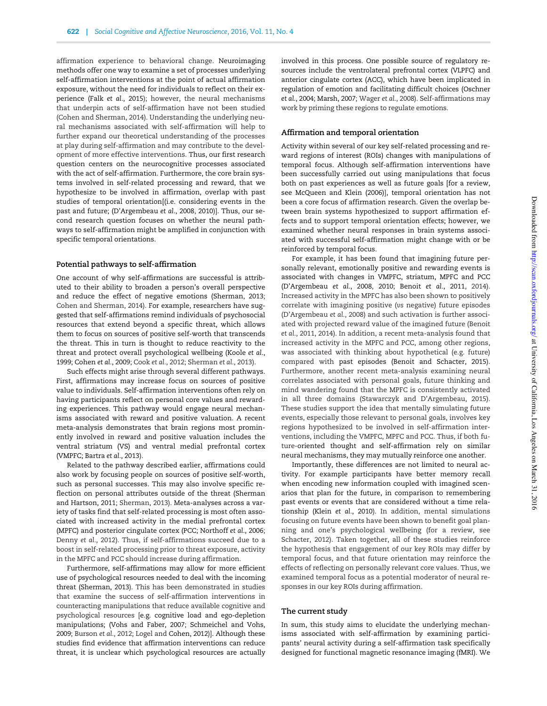affirmation experience to behavioral change. Neuroimaging methods offer one way to examine a set of processes underlying self-affirmation interventions at the point of actual affirmation exposure, without the need for individuals to reflect on their experience (Falk et al[., 2015](#page-8-0)); however, the neural mechanisms that underpin acts of self-affirmation have not been studied [\(Cohen and Sherman, 2014](#page-7-0)). Understanding the underlying neural mechanisms associated with self-affirmation will help to further expand our theoretical understanding of the processes at play during self-affirmation and may contribute to the development of more effective interventions. Thus, our first research question centers on the neurocognitive processes associated with the act of self-affirmation. Furthermore, the core brain systems involved in self-related processing and reward, that we hypothesize to be involved in affirmation, overlap with past studies of temporal orientation[(i.e. considering events in the past and future; [\(D'Argembeau](#page-8-0) et al., 2008, [2010\)](#page-8-0)]. Thus, our second research question focuses on whether the neural pathways to self-affirmation might be amplified in conjunction with specific temporal orientations.

#### Potential pathways to self-affirmation

One account of why self-affirmations are successful is attributed to their ability to broaden a person's overall perspective and reduce the effect of negative emotions ([Sherman, 2013](#page-8-0); [Cohen and Sherman, 2014\)](#page-7-0). For example, researchers have suggested that self-affirmations remind individuals of psychosocial resources that extend beyond a specific threat, which allows them to focus on sources of positive self-worth that transcends the threat. This in turn is thought to reduce reactivity to the threat and protect overall psychological wellbeing ([Koole](#page-8-0) et al., [1999;](#page-8-0) [Cohen](#page-7-0) et al., 2009; Cook et al.[, 2012;](#page-7-0) [Sherman](#page-8-0) et al., 2013).

Such effects might arise through several different pathways. First, affirmations may increase focus on sources of positive value to individuals. Self-affirmation interventions often rely on having participants reflect on personal core values and rewarding experiences. This pathway would engage neural mechanisms associated with reward and positive valuation. A recent meta-analysis demonstrates that brain regions most prominently involved in reward and positive valuation includes the ventral striatum (VS) and ventral medial prefrontal cortex (VMPFC; [Bartra](#page-7-0) et al., 2013).

Related to the pathway described earlier, affirmations could also work by focusing people on sources of positive self-worth, such as personal successes. This may also involve specific reflection on personal attributes outside of the threat ([Sherman](#page-8-0) [and Hartson, 2011; Sherman, 2013](#page-8-0)). Meta-analyses across a variety of tasks find that self-related processing is most often associated with increased activity in the medial prefrontal cortex (MPFC) and posterior cingulate cortex (PCC; [Northoff](#page-8-0) et al., 2006; [Denny](#page-8-0) et al., 2012). Thus, if self-affirmations succeed due to a boost in self-related processing prior to threat exposure, activity in the MPFC and PCC should increase during affirmation.

Furthermore, self-affirmations may allow for more efficient use of psychological resources needed to deal with the incoming threat [\(Sherman, 2013\)](#page-8-0). This has been demonstrated in studies that examine the success of self-affirmation interventions in counteracting manipulations that reduce available cognitive and psychological resources [e.g. cognitive load and ego-depletion manipulations; [\(Vohs and Faber, 2007;](#page-8-0) [Schmeichel and Vohs,](#page-8-0) [2009](#page-8-0); [Burson](#page-7-0) et al., 2012; [Logel](#page-8-0) and [Cohen, 2012\)](#page-8-0)]. Although these studies find evidence that affirmation interventions can reduce threat, it is unclear which psychological resources are actually involved in this process. One possible source of regulatory resources include the ventrolateral prefrontal cortex (VLPFC) and anterior cingulate cortex (ACC), which have been implicated in regulation of emotion and facilitating difficult choices [\(Oschner](#page-8-0) et al[., 2004](#page-8-0); [Marsh, 2007](#page-8-0); [Wager](#page-8-0) et al., 2008). Self-affirmations may work by priming these regions to regulate emotions.

#### Affirmation and temporal orientation

Activity within several of our key self-related processing and reward regions of interest (ROIs) changes with manipulations of temporal focus. Although self-affirmation interventions have been successfully carried out using manipulations that focus both on past experiences as well as future goals [for a review, see [McQueen and Klein \(2006\)](#page-8-0)], temporal orientation has not been a core focus of affirmation research. Given the overlap between brain systems hypothesized to support affirmation effects and to support temporal orientation effects; however, we examined whether neural responses in brain systems associated with successful self-affirmation might change with or be reinforced by temporal focus.

For example, it has been found that imagining future personally relevant, emotionally positive and rewarding events is associated with changes in VMPFC, striatum, MPFC and PCC [\(D'Argembeau](#page-8-0) et al., 2008, [2010;](#page-8-0) Benoit et al.[, 2011, 2014\)](#page-7-0). Increased activity in the MPFC has also been shown to positively correlate with imagining positive (vs negative) future episodes [\(D'Argembeau](#page-8-0) et al., 2008) and such activation is further associated with projected reward value of the imagined future ([Benoit](#page-7-0) et al[., 2011](#page-7-0), [2014](#page-7-0)). In addition, a recent meta-analysis found that increased activity in the MPFC and PCC, among other regions, was associated with thinking about hypothetical (e.g. future) compared with past episodes ([Benoit and Schacter, 2015\)](#page-7-0). Furthermore, another recent meta-analysis examining neural correlates associated with personal goals, future thinking and mind wandering found that the MPFC is consistently activated in all three domains [\(Stawarczyk and D'Argembeau, 2015\)](#page-8-0). These studies support the idea that mentally simulating future events, especially those relevant to personal goals, involves key regions hypothesized to be involved in self-affirmation interventions, including the VMPFC, MPFC and PCC. Thus, if both future-oriented thought and self-affirmation rely on similar neural mechanisms, they may mutually reinforce one another.

Importantly, these differences are not limited to neural activity. For example participants have better memory recall when encoding new information coupled with imagined scenarios that plan for the future, in comparison to remembering past events or events that are considered without a time relationship (Klein et al.[, 2010](#page-8-0)). In addition, mental simulations focusing on future events have been shown to benefit goal planning and one's psychological wellbeing (for a review, see [Schacter, 2012\)](#page-8-0). Taken together, all of these studies reinforce the hypothesis that engagement of our key ROIs may differ by temporal focus, and that future orientation may reinforce the effects of reflecting on personally relevant core values. Thus, we examined temporal focus as a potential moderator of neural responses in our key ROIs during affirmation.

#### The current study

In sum, this study aims to elucidate the underlying mechanisms associated with self-affirmation by examining participants' neural activity during a self-affirmation task specifically designed for functional magnetic resonance imaging (fMRI). We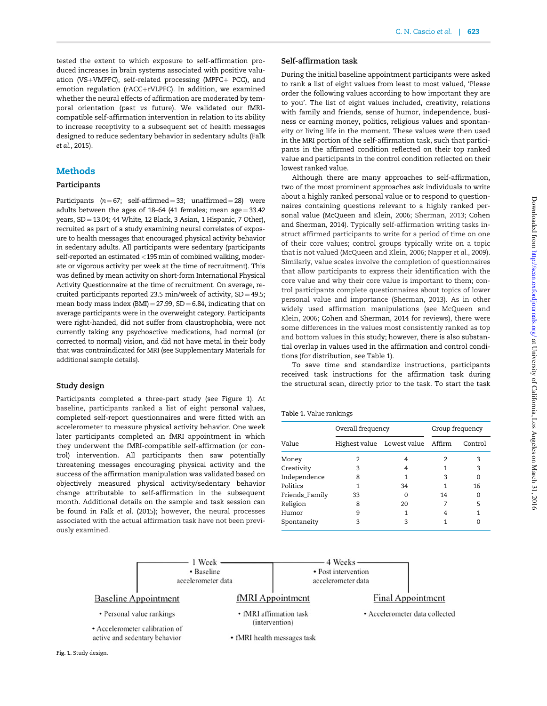tested the extent to which exposure to self-affirmation produced increases in brain systems associated with positive valuation (VS+VMPFC), self-related processing (MPFC+ PCC), and emotion regulation ( $rACC+rVLPFC$ ). In addition, we examined whether the neural effects of affirmation are moderated by temporal orientation (past vs future). We validated our fMRIcompatible self-affirmation intervention in relation to its ability to increase receptivity to a subsequent set of health messages designed to reduce sedentary behavior in sedentary adults ([Falk](#page-8-0) et al[., 2015\)](#page-8-0).

# Methods

## Participants

Participants  $(n = 67; \text{ self-affirmed} = 33; \text{ unaffirmed} = 28)$  were adults between the ages of  $18-64$  (41 females; mean age = 33.42) years,  $SD = 13.04$ ; 44 White, 12 Black, 3 Asian, 1 Hispanic, 7 Other), recruited as part of a study examining neural correlates of exposure to health messages that encouraged physical activity behavior in sedentary adults. All participants were sedentary (participants self-reported an estimated <195min of combined walking, moderate or vigorous activity per week at the time of recruitment). This was defined by mean activity on short-form International Physical Activity Questionnaire at the time of recruitment. On average, recruited participants reported 23.5 min/week of activity,  $SD = 49.5$ ; mean body mass index  $(BMI) = 27.99$ ,  $SD = 6.84$ , indicating that on average participants were in the overweight category. Participants were right-handed, did not suffer from claustrophobia, were not currently taking any psychoactive medications, had normal (or corrected to normal) vision, and did not have metal in their body that was contraindicated for MRI (see [Supplementary Materials](http://scan.oxfordjournals.org/lookup/suppl/doi:10.1093/scan/nsv136/-/DC1) for additional sample details).

## Study design

Participants completed a three-part study (see Figure 1). At baseline, participants ranked a list of eight personal values, completed self-report questionnaires and were fitted with an accelerometer to measure physical activity behavior. One week later participants completed an fMRI appointment in which they underwent the fMRI-compatible self-affirmation (or control) intervention. All participants then saw potentially threatening messages encouraging physical activity and the success of the affirmation manipulation was validated based on objectively measured physical activity/sedentary behavior change attributable to self-affirmation in the subsequent month. Additional details on the sample and task session can be found in Falk et al[. \(2015\);](#page-8-0) however, the neural processes associated with the actual affirmation task have not been previously examined.

## Self-affirmation task

During the initial baseline appointment participants were asked to rank a list of eight values from least to most valued, 'Please order the following values according to how important they are to you'. The list of eight values included, creativity, relations with family and friends, sense of humor, independence, business or earning money, politics, religious values and spontaneity or living life in the moment. These values were then used in the MRI portion of the self-affirmation task, such that participants in the affirmed condition reflected on their top ranked value and participants in the control condition reflected on their lowest ranked value.

Although there are many approaches to self-affirmation, two of the most prominent approaches ask individuals to write about a highly ranked personal value or to respond to questionnaires containing questions relevant to a highly ranked personal value ([McQueen and Klein, 2006; Sherman, 2013](#page-8-0); [Cohen](#page-7-0) [and Sherman, 2014\)](#page-7-0). Typically self-affirmation writing tasks instruct affirmed participants to write for a period of time on one of their core values; control groups typically write on a topic that is not valued [\(McQueen and Klein, 2006](#page-8-0); [Napper](#page-8-0) et al., 2009). Similarly, value scales involve the completion of questionnaires that allow participants to express their identification with the core value and why their core value is important to them; control participants complete questionnaires about topics of lower personal value and importance ([Sherman, 2013\)](#page-8-0). As in other widely used affirmation manipulations (see [McQueen and](#page-8-0) [Klein, 2006;](#page-8-0) [Cohen and Sherman, 2014](#page-7-0) for reviews), there were some differences in the values most consistently ranked as top and bottom values in this study; however, there is also substantial overlap in values used in the affirmation and control conditions (for distribution, see Table 1).

To save time and standardize instructions, participants received task instructions for the affirmation task during the structural scan, directly prior to the task. To start the task

#### Table 1. Value rankings

|                | Overall frequency |                                   | Group frequency |         |
|----------------|-------------------|-----------------------------------|-----------------|---------|
| Value          |                   | Highest value Lowest value Affirm |                 | Control |
| Money          | 2                 | 4                                 |                 | 3       |
| Creativity     | 3                 | 4                                 |                 | 3       |
| Independence   | 8                 | 1                                 | 3               |         |
| Politics       | 1                 | 34                                |                 | 16      |
| Friends_Family | 33                | O                                 | 14              |         |
| Religion       | 8                 | 20                                |                 | 5       |
| Humor          | 9                 | 1                                 | 4               |         |
| Spontaneity    | 3                 | 3                                 |                 |         |
|                |                   |                                   |                 |         |

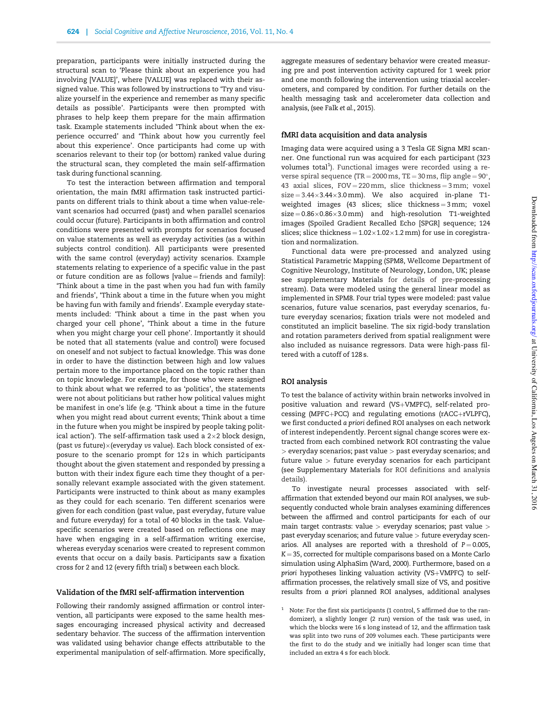preparation, participants were initially instructed during the structural scan to 'Please think about an experience you had involving [VALUE]', where [VALUE] was replaced with their assigned value. This was followed by instructions to 'Try and visualize yourself in the experience and remember as many specific details as possible'. Participants were then prompted with phrases to help keep them prepare for the main affirmation task. Example statements included 'Think about when the experience occurred' and 'Think about how you currently feel about this experience'. Once participants had come up with scenarios relevant to their top (or bottom) ranked value during the structural scan, they completed the main self-affirmation task during functional scanning.

To test the interaction between affirmation and temporal orientation, the main fMRI affirmation task instructed participants on different trials to think about a time when value-relevant scenarios had occurred (past) and when parallel scenarios could occur (future). Participants in both affirmation and control conditions were presented with prompts for scenarios focused on value statements as well as everyday activities (as a within subjects control condition). All participants were presented with the same control (everyday) activity scenarios. Example statements relating to experience of a specific value in the past or future condition are as follows  $[value = friends and family]$ : 'Think about a time in the past when you had fun with family and friends', 'Think about a time in the future when you might be having fun with family and friends'. Example everyday statements included: 'Think about a time in the past when you charged your cell phone', 'Think about a time in the future when you might charge your cell phone'. Importantly it should be noted that all statements (value and control) were focused on oneself and not subject to factual knowledge. This was done in order to have the distinction between high and low values pertain more to the importance placed on the topic rather than on topic knowledge. For example, for those who were assigned to think about what we referred to as 'politics', the statements were not about politicians but rather how political values might be manifest in one's life (e.g. 'Think about a time in the future when you might read about current events; Think about a time in the future when you might be inspired by people taking political action'). The self-affirmation task used a  $2\times 2$  block design, (past vs future) $\times$  (everyday vs value). Each block consisted of exposure to the scenario prompt for 12 s in which participants thought about the given statement and responded by pressing a button with their index figure each time they thought of a personally relevant example associated with the given statement. Participants were instructed to think about as many examples as they could for each scenario. Ten different scenarios were given for each condition (past value, past everyday, future value and future everyday) for a total of 40 blocks in the task. Valuespecific scenarios were created based on reflections one may have when engaging in a self-affirmation writing exercise, whereas everyday scenarios were created to represent common events that occur on a daily basis. Participants saw a fixation cross for 2 and 12 (every fifth trial) s between each block.

#### Validation of the fMRI self-affirmation intervention

Following their randomly assigned affirmation or control intervention, all participants were exposed to the same health messages encouraging increased physical activity and decreased sedentary behavior. The success of the affirmation intervention was validated using behavior change effects attributable to the experimental manipulation of self-affirmation. More specifically, aggregate measures of sedentary behavior were created measuring pre and post intervention activity captured for 1 week prior and one month following the intervention using triaxial accelerometers, and compared by condition. For further details on the health messaging task and accelerometer data collection and analysis, (see Falk et al[., 2015](#page-8-0)).

#### fMRI data acquisition and data analysis

Imaging data were acquired using a 3 Tesla GE Signa MRI scanner. One functional run was acquired for each participant (323 volumes total<sup>1</sup>). Functional images were recorded using a reverse spiral sequence (TR = 2000 ms, TE = 30 ms, flip angle =  $90^{\circ}$ , 43 axial slices,  $FOV = 220$  mm, slice thickness =  $3$  mm; voxel  $size = 3.44 \times 3.44 \times 3.0$  mm). We also acquired in-plane T1weighted images (43 slices; slice thickness =  $3 \text{ mm}$ ; voxel  $size = 0.86 \times 0.86 \times 3.0$  mm) and high-resolution T1-weighted images (Spoiled Gradient Recalled Echo [SPGR] sequence; 124 slices; slice thickness =  $1.02 \times 1.02 \times 1.2$  mm) for use in coregistration and normalization.

Functional data were pre-processed and analyzed using Statistical Parametric Mapping (SPM8, Wellcome Department of Cognitive Neurology, Institute of Neurology, London, UK; please see [supplementary Materials](http://scan.oxfordjournals.org/lookup/suppl/doi:10.1093/scan/nsv136/-/DC1) for details of pre-processing stream). Data were modeled using the general linear model as implemented in SPM8. Four trial types were modeled: past value scenarios, future value scenarios, past everyday scenarios, future everyday scenarios; fixation trials were not modeled and constituted an implicit baseline. The six rigid-body translation and rotation parameters derived from spatial realignment were also included as nuisance regressors. Data were high-pass filtered with a cutoff of 128 s.

#### ROI analysis

To test the balance of activity within brain networks involved in positive valuation and reward (VS+VMPFC), self-related processing (MPFC+PCC) and regulating emotions (rACC+rVLPFC), we first conducted a priori defined ROI analyses on each network of interest independently. Percent signal change scores were extracted from each combined network ROI contrasting the value > everyday scenarios; past value > past everyday scenarios; and future value > future everyday scenarios for each participant (see [Supplementary Materials](http://scan.oxfordjournals.org/lookup/suppl/doi:10.1093/scan/nsv136/-/DC1) for ROI definitions and analysis details).

To investigate neural processes associated with selfaffirmation that extended beyond our main ROI analyses, we subsequently conducted whole brain analyses examining differences between the affirmed and control participants for each of our main target contrasts: value  $>$  everyday scenarios; past value  $>$ past everyday scenarios; and future value > future everyday scenarios. All analyses are reported with a threshold of  $P = 0.005$ ,  $K = 35$ , corrected for multiple comparisons based on a Monte Carlo simulation using AlphaSim [\(Ward, 2000\)](#page-8-0). Furthermore, based on a priori hypotheses linking valuation activity (VS+VMPFC) to selfaffirmation processes, the relatively small size of VS, and positive results from a priori planned ROI analyses, additional analyses

 $1$  Note: For the first six participants (1 control, 5 affirmed due to the randomizer), a slightly longer (2 run) version of the task was used, in which the blocks were 16 s long instead of 12, and the affirmation task was split into two runs of 209 volumes each. These participants were the first to do the study and we initially had longer scan time that included an extra 4 s for each block.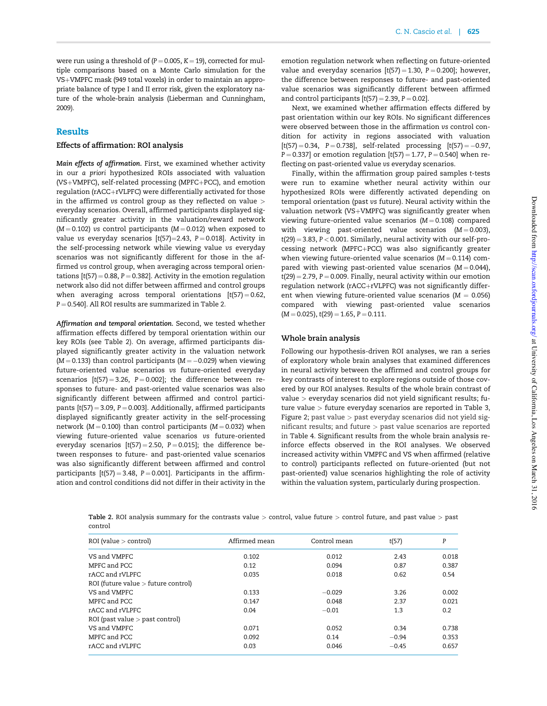were run using a threshold of  $(P = 0.005, K = 19)$ , corrected for multiple comparisons based on a Monte Carlo simulation for the VS+VMPFC mask (949 total voxels) in order to maintain an appropriate balance of type I and II error risk, given the exploratory nature of the whole-brain analysis [\(Lieberman and Cunningham,](#page-8-0) [2009](#page-8-0)).

# **Results**

# Effects of affirmation: ROI analysis

Main effects of affirmation. First, we examined whether activity in our a priori hypothesized ROIs associated with valuation (VS+VMPFC), self-related processing (MPFC+PCC), and emotion regulation (rACC+rVLPFC) were differentially activated for those in the affirmed vs control group as they reflected on value > everyday scenarios. Overall, affirmed participants displayed significantly greater activity in the valuation/reward network ( $M = 0.102$ ) vs control participants ( $M = 0.012$ ) when exposed to value vs everyday scenarios  $[t(57)=2.43, P = 0.018]$ . Activity in the self-processing network while viewing value vs everyday scenarios was not significantly different for those in the affirmed vs control group, when averaging across temporal orientations  $[t(57) = 0.88, P = 0.382]$ . Activity in the emotion regulation network also did not differ between affirmed and control groups when averaging across temporal orientations  $[t(57) = 0.62]$ ,  $P = 0.540$ ]. All ROI results are summarized in Table 2.

Affirmation and temporal orientation. Second, we tested whether affirmation effects differed by temporal orientation within our key ROIs (see Table 2). On average, affirmed participants displayed significantly greater activity in the valuation network ( $M = 0.133$ ) than control participants ( $M = -0.029$ ) when viewing future-oriented value scenarios vs future-oriented everyday scenarios  $[t(57) = 3.26, P = 0.002]$ ; the difference between responses to future- and past-oriented value scenarios was also significantly different between affirmed and control participants  $[t(57) = 3.09, P = 0.003]$ . Additionally, affirmed participants displayed significantly greater activity in the self-processing network ( $M = 0.100$ ) than control participants ( $M = 0.032$ ) when viewing future-oriented value scenarios vs future-oriented everyday scenarios  $[t(57) = 2.50, P = 0.015]$ ; the difference between responses to future- and past-oriented value scenarios was also significantly different between affirmed and control participants  $[t(57) = 3.48, P = 0.001]$ . Participants in the affirmation and control conditions did not differ in their activity in the emotion regulation network when reflecting on future-oriented value and everyday scenarios  $[t(57) = 1.30, P = 0.200]$ ; however, the difference between responses to future- and past-oriented value scenarios was significantly different between affirmed and control participants  $[t(57) = 2.39, P = 0.02]$ .

Next, we examined whether affirmation effects differed by past orientation within our key ROIs. No significant differences were observed between those in the affirmation vs control condition for activity in regions associated with valuation  $[t(57) = 0.34, P = 0.738], self-related processing [t(57) = -0.97,$  $P = 0.337$ ] or emotion regulation  $[t(57) = 1.77, P = 0.540]$  when reflecting on past-oriented value vs everyday scenarios.

Finally, within the affirmation group paired samples t-tests were run to examine whether neural activity within our hypothesized ROIs were differently activated depending on temporal orientation (past vs future). Neural activity within the valuation network (VS+VMPFC) was significantly greater when viewing future-oriented value scenarios ( $M = 0.108$ ) compared with viewing past-oriented value scenarios  $(M = 0.003)$ ,  $t(29) = 3.83$ ,  $P < 0.001$ . Similarly, neural activity with our self-processing network (MPFC+PCC) was also significantly greater when viewing future-oriented value scenarios ( $M = 0.114$ ) compared with viewing past-oriented value scenarios  $(M = 0.044)$ ,  $t(29) = 2.79$ ,  $P = 0.009$ . Finally, neural activity within our emotion regulation network (rACC+rVLPFC) was not significantly different when viewing future-oriented value scenarios ( $M = 0.056$ ) compared with viewing past-oriented value scenarios  $(M = 0.025)$ , t(29) = 1.65, P = 0.111.

#### Whole brain analysis

Following our hypothesis-driven ROI analyses, we ran a series of exploratory whole brain analyses that examined differences in neural activity between the affirmed and control groups for key contrasts of interest to explore regions outside of those covered by our ROI analyses. Results of the whole brain contrast of value > everyday scenarios did not yield significant results; future value > future everyday scenarios are reported in [Table 3](#page-5-0), [Figure 2](#page-5-0); past value > past everyday scenarios did not yield significant results; and future > past value scenarios are reported in [Table 4.](#page-5-0) Significant results from the whole brain analysis reinforce effects observed in the ROI analyses. We observed increased activity within VMPFC and VS when affirmed (relative to control) participants reflected on future-oriented (but not past-oriented) value scenarios highlighting the role of activity within the valuation system, particularly during prospection.

| ROI (value > control)                 | Affirmed mean | Control mean | t(57)   | P     |
|---------------------------------------|---------------|--------------|---------|-------|
| VS and VMPFC                          | 0.102         | 0.012        | 2.43    | 0.018 |
| MPFC and PCC                          | 0.12          | 0.094        | 0.87    | 0.387 |
| rACC and rVLPFC                       | 0.035         | 0.018        | 0.62    | 0.54  |
| ROI (future value $>$ future control) |               |              |         |       |
| VS and VMPFC                          | 0.133         | $-0.029$     | 3.26    | 0.002 |
| MPFC and PCC                          | 0.147         | 0.048        | 2.37    | 0.021 |
| rACC and rVLPFC                       | 0.04          | $-0.01$      | 1.3     | 0.2   |
| ROI (past value $>$ past control)     |               |              |         |       |
| VS and VMPFC                          | 0.071         | 0.052        | 0.34    | 0.738 |
| MPFC and PCC                          | 0.092         | 0.14         | $-0.94$ | 0.353 |
| rACC and rVLPFC                       | 0.03          | 0.046        | $-0.45$ | 0.657 |

Table 2. ROI analysis summary for the contrasts value > control, value future > control future, and past value > past control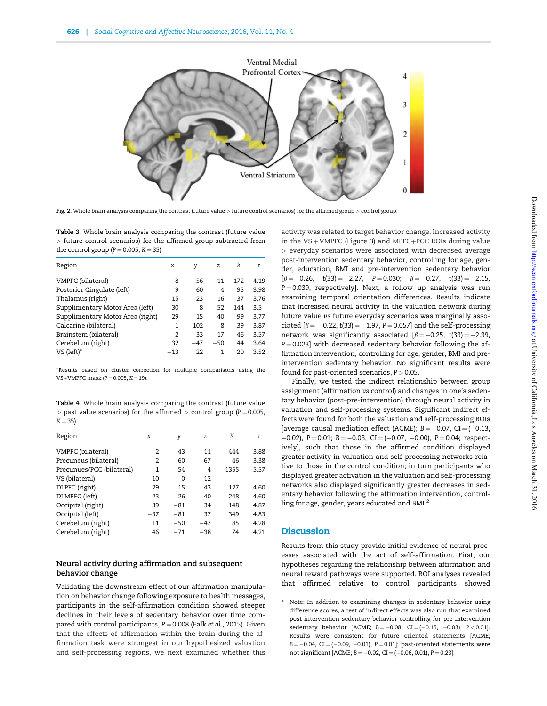<span id="page-5-0"></span>

Fig. 2. Whole brain analysis comparing the contrast (future value > future control scenarios) for the affirmed group > control group

Table 3. Whole brain analysis comparing the contrast (future value > future control scenarios) for the affirmed group subtracted from the control group ( $P = 0.005$ ,  $K = 35$ )

| Region                           | x     | y      | z     | k   | t    |
|----------------------------------|-------|--------|-------|-----|------|
| VMPFC (bilateral)                | 8     | 56     | $-11$ | 172 | 4.19 |
| Posterior Cingulate (left)       | $-9$  | $-60$  | 4     | 95  | 3.98 |
| Thalamus (right)                 | 15    | $-23$  | 16    | 37  | 3.76 |
| Supplimentary Motor Area (left)  | $-30$ | 8      | 52    | 144 | 3.5  |
| Supplimentary Motor Area (right) | 29    | 15     | 40    | 99  | 3.77 |
| Calcarine (bilateral)            | 1     | $-102$ | -8    | 39  | 3.87 |
| Brainstem (bilateral)            | $-2$  | $-33$  | $-17$ | 46  | 3.57 |
| Cerebelum (right)                | 32    | $-47$  | $-50$ | 44  | 3.64 |
| VS (left) <sup>a</sup>           | $-13$ | 22     | 1     | 20  | 3.52 |

<sup>a</sup>Results based on cluster correction for multiple comparisons using the  $VS+VMPFC mask (P = 0.005, K = 19).$ 

Table 4. Whole brain analysis comparing the contrast (future value  $>$  past value scenarios) for the affirmed  $>$  control group (P = 0.005,  $K = 35$ 

| Region                    | x     | y     | z     | K    | t    |
|---------------------------|-------|-------|-------|------|------|
| VMPFC (bilateral)         | $-2$  | 43    | $-11$ | 444  | 3.88 |
| Precuneus (bilateral)     | $-2$  | $-60$ | 67    | 46   | 3.38 |
| Precunues/PCC (bilateral) | 1     | $-54$ | 4     | 1355 | 5.57 |
| VS (bilateral)            | 10    | 0     | 12    |      |      |
| DLPFC (right)             | 29    | 15    | 43    | 127  | 4.60 |
| DLMPFC (left)             | $-23$ | 26    | 40    | 248  | 4.60 |
| Occipital (right)         | 39    | $-81$ | 34    | 148  | 4.87 |
| Occipital (left)          | $-37$ | $-81$ | 37    | 349  | 4.83 |
| Cerebelum (right)         | 11    | $-50$ | $-47$ | 85   | 4.28 |
| Cerebelum (right)         | 46    | $-71$ | $-38$ | 74   | 4.21 |

# Neural activity during affirmation and subsequent behavior change

Validating the downstream effect of our affirmation manipulation on behavior change following exposure to health messages, participants in the self-affirmation condition showed steeper declines in their levels of sedentary behavior over time compared with control participants,  $P = 0.008$  (Falk et al[., 2015\)](#page-8-0). Given that the effects of affirmation within the brain during the affirmation task were strongest in our hypothesized valuation and self-processing regions, we next examined whether this activity was related to target behavior change. Increased activity in the  $VS + VMPFC$  ([Figure 3](#page-6-0)) and MPFC+PCC ROIs during value > everyday scenarios were associated with decreased average post-intervention sedentary behavior, controlling for age, gender, education, BMI and pre-intervention sedentary behavior  $[\beta = -0.26, \quad t(33) = -2.27, \quad P = 0.030; \quad \beta = -0.27, \quad t(33) = -2.15,$  $P = 0.039$ , respectively]. Next, a follow up analysis was run examining temporal orientation differences. Results indicate that increased neural activity in the valuation network during future value vs future everyday scenarios was marginally associated  $[\beta = -0.22, t(33) = -1.97, P = 0.057]$  and the self-processing network was significantly associated  $\beta = -0.25$ , t(33) = -2.39,  $P = 0.023$ ] with decreased sedentary behavior following the affirmation intervention, controlling for age, gender, BMI and preintervention sedentary behavior. No significant results were found for past-oriented scenarios,  $P > 0.05$ .

Finally, we tested the indirect relationship between group assignment (affirmation vs control) and changes in one's sedentary behavior (post–pre-intervention) through neural activity in valuation and self-processing systems. Significant indirect effects were found for both the valuation and self-processing ROIs [average causal mediation effect (ACME);  $B = -0.07$ , CI =  $(-0.13$ ,  $-0.02$ ), P = 0.01; B =  $-0.03$ , CI =  $(-0.07, -0.00)$ , P = 0.04; respectively], such that those in the affirmed condition displayed greater activity in valuation and self-processing networks relative to those in the control condition; in turn participants who displayed greater activation in the valuation and self-processing networks also displayed significantly greater decreases in sedentary behavior following the affirmation intervention, controlling for age, gender, years educated and BMI.<sup>2</sup>

# **Discussion**

Results from this study provide initial evidence of neural processes associated with the act of self-affirmation. First, our hypotheses regarding the relationship between affirmation and neural reward pathways were supported. ROI analyses revealed that affirmed relative to control participants showed

Note: In addition to examining changes in sedentary behavior using difference scores, a test of indirect effects was also run that examined post intervention sedentary behavior controlling for pre intervention sedentary behavior [ACME;  $B = -0.08$ , CI = (-0.15, -0.03), P < 0.01]. Results were consistent for future oriented statements [ACME;  $B = -0.04$ ,  $CI = (-0.09, -0.01)$ ,  $P = 0.01$ ; past-oriented statements were not significant [ACME;  $B = -0.02$ , CI = (-0.06, 0.01), P = 0.23].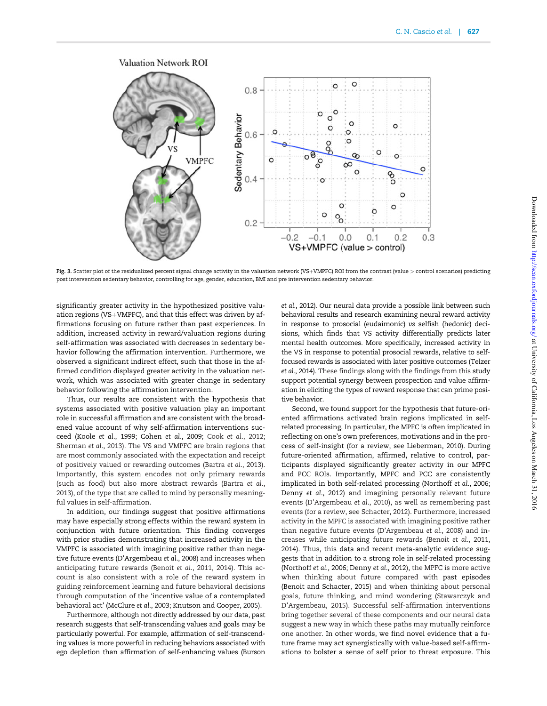<span id="page-6-0"></span>

Fig. 3. Scatter plot of the residualized percent signal change activity in the valuation network (VS+VMPFC) ROI from the contrast (value > control scenarios) predicting post intervention sedentary behavior, controlling for age, gender, education, BMI and pre intervention sedentary behavior.

significantly greater activity in the hypothesized positive valuation regions (VS+VMPFC), and that this effect was driven by affirmations focusing on future rather than past experiences. In addition, increased activity in reward/valuation regions during self-affirmation was associated with decreases in sedentary behavior following the affirmation intervention. Furthermore, we observed a significant indirect effect, such that those in the affirmed condition displayed greater activity in the valuation network, which was associated with greater change in sedentary behavior following the affirmation intervention.

Thus, our results are consistent with the hypothesis that systems associated with positive valuation play an important role in successful affirmation and are consistent with the broadened value account of why self-affirmation interventions succeed (Koole et al[., 1999;](#page-8-0) Cohen et al[., 2009](#page-7-0); Cook et al[., 2012](#page-7-0); [Sherman](#page-8-0) et al., 2013). The VS and VMPFC are brain regions that are most commonly associated with the expectation and receipt of positively valued or rewarding outcomes (Bartra et al[., 2013\)](#page-7-0). Importantly, this system encodes not only primary rewards (such as food) but also more abstract rewards [\(Bartra](#page-7-0) et al., [2013\)](#page-7-0), of the type that are called to mind by personally meaningful values in self-affirmation.

In addition, our findings suggest that positive affirmations may have especially strong effects within the reward system in conjunction with future orientation. This finding converges with prior studies demonstrating that increased activity in the VMPFC is associated with imagining positive rather than negative future events ([D'Argembeau](#page-8-0) et al., 2008) and increases when anticipating future rewards [\(Benoit](#page-7-0) et al., 2011, [2014](#page-7-0)). This account is also consistent with a role of the reward system in guiding reinforcement learning and future behavioral decisions through computation of the 'incentive value of a contemplated behavioral act' [\(McClure](#page-8-0) et al., 2003; [Knutson and Cooper, 2005](#page-8-0)).

Furthermore, although not directly addressed by our data, past research suggests that self-transcending values and goals may be particularly powerful. For example, affirmation of self-transcending values is more powerful in reducing behaviors associated with ego depletion than affirmation of self-enhancing values [\(Burson](#page-7-0) et al.[, 2012](#page-7-0)). Our neural data provide a possible link between such behavioral results and research examining neural reward activity in response to prosocial (eudaimonic) vs selfish (hedonic) decisions, which finds that VS activity differentially predicts later mental health outcomes. More specifically, increased activity in the VS in response to potential prosocial rewards, relative to selffocused rewards is associated with later positive outcomes [\(Telzer](#page-8-0) et al.[, 2014](#page-8-0)). These findings along with the findings from this study support potential synergy between prospection and value affirmation in eliciting the types of reward response that can prime positive behavior.

Second, we found support for the hypothesis that future-oriented affirmations activated brain regions implicated in selfrelated processing. In particular, the MPFC is often implicated in reflecting on one's own preferences, motivations and in the process of self-insight (for a review, see [Lieberman, 2010\)](#page-8-0). During future-oriented affirmation, affirmed, relative to control, participants displayed significantly greater activity in our MPFC and PCC ROIs. Importantly, MPFC and PCC are consistently implicated in both self-related processing ([Northoff](#page-8-0) et al., 2006; Denny et al[., 2012](#page-8-0)) and imagining personally relevant future events [\(D'Argembeau](#page-8-0) et al., 2010), as well as remembering past events (for a review, see [Schacter, 2012\)](#page-8-0). Furthermore, increased activity in the MPFC is associated with imagining positive rather than negative future events ([D'Argembeau](#page-8-0) et al., 2008) and increases while anticipating future rewards (Benoit et al[., 2011](#page-7-0), [2014\)](#page-7-0). Thus, this data and recent meta-analytic evidence suggests that in addition to a strong role in self-related processing [\(Northoff](#page-8-0) et al., 2006; [Denny](#page-8-0) et al., 2012), the MPFC is more active when thinking about future compared with past episodes [\(Benoit and Schacter, 2015\)](#page-7-0) and when thinking about personal goals, future thinking, and mind wondering [\(Stawarczyk and](#page-8-0) [D'Argembeau, 2015](#page-8-0)). Successful self-affirmation interventions bring together several of these components and our neural data suggest a new way in which these paths may mutually reinforce one another. In other words, we find novel evidence that a future frame may act synergistically with value-based self-affirmations to bolster a sense of self prior to threat exposure. This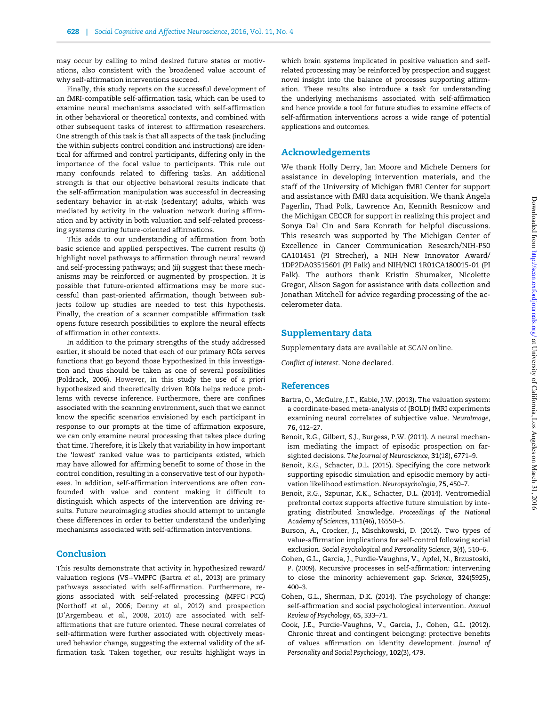<span id="page-7-0"></span>may occur by calling to mind desired future states or motivations, also consistent with the broadened value account of why self-affirmation interventions succeed.

Finally, this study reports on the successful development of an fMRI-compatible self-affirmation task, which can be used to examine neural mechanisms associated with self-affirmation in other behavioral or theoretical contexts, and combined with other subsequent tasks of interest to affirmation researchers. One strength of this task is that all aspects of the task (including the within subjects control condition and instructions) are identical for affirmed and control participants, differing only in the importance of the focal value to participants. This rule out many confounds related to differing tasks. An additional strength is that our objective behavioral results indicate that the self-affirmation manipulation was successful in decreasing sedentary behavior in at-risk (sedentary) adults, which was mediated by activity in the valuation network during affirmation and by activity in both valuation and self-related processing systems during future-oriented affirmations.

This adds to our understanding of affirmation from both basic science and applied perspectives. The current results (i) highlight novel pathways to affirmation through neural reward and self-processing pathways; and (ii) suggest that these mechanisms may be reinforced or augmented by prospection. It is possible that future-oriented affirmations may be more successful than past-oriented affirmation, though between subjects follow up studies are needed to test this hypothesis. Finally, the creation of a scanner compatible affirmation task opens future research possibilities to explore the neural effects of affirmation in other contexts.

In addition to the primary strengths of the study addressed earlier, it should be noted that each of our primary ROIs serves functions that go beyond those hypothesized in this investigation and thus should be taken as one of several possibilities [\(Poldrack, 2006](#page-8-0)). However, in this study the use of a priori hypothesized and theoretically driven ROIs helps reduce problems with reverse inference. Furthermore, there are confines associated with the scanning environment, such that we cannot know the specific scenarios envisioned by each participant in response to our prompts at the time of affirmation exposure, we can only examine neural processing that takes place during that time. Therefore, it is likely that variability in how important the 'lowest' ranked value was to participants existed, which may have allowed for affirming benefit to some of those in the control condition, resulting in a conservative test of our hypotheses. In addition, self-affirmation interventions are often confounded with value and content making it difficult to distinguish which aspects of the intervention are driving results. Future neuroimaging studies should attempt to untangle these differences in order to better understand the underlying mechanisms associated with self-affirmation interventions.

# Conclusion

This results demonstrate that activity in hypothesized reward/ valuation regions (VS+VMPFC (Bartra et al., 2013) are primary pathways associated with self-affirmation. Furthermore, regions associated with self-related processing (MPFC+PCC) [\(Northoff](#page-8-0) et al., 2006; Denny et al[., 2012\)](#page-8-0) and prospection [\(D'Argembeau](#page-8-0) et al., 2008, [2010](#page-8-0)) are associated with selfaffirmations that are future oriented. These neural correlates of self-affirmation were further associated with objectively measured behavior change, suggesting the external validity of the affirmation task. Taken together, our results highlight ways in

which brain systems implicated in positive valuation and selfrelated processing may be reinforced by prospection and suggest novel insight into the balance of processes supporting affirmation. These results also introduce a task for understanding the underlying mechanisms associated with self-affirmation and hence provide a tool for future studies to examine effects of self-affirmation interventions across a wide range of potential applications and outcomes.

# Acknowledgements

We thank Holly Derry, Ian Moore and Michele Demers for assistance in developing intervention materials, and the staff of the University of Michigan fMRI Center for support and assistance with fMRI data acquisition. We thank Angela Fagerlin, Thad Polk, Lawrence An, Kennith Resnicow and the Michigan CECCR for support in realizing this project and Sonya Dal Cin and Sara Konrath for helpful discussions. This research was supported by The Michigan Center of Excellence in Cancer Communication Research/NIH-P50 CA101451 (PI Strecher), a NIH New Innovator Award/ 1DP2DA03515601 (PI Falk) and NIH/NCI 1R01CA180015-01 (PI Falk). The authors thank Kristin Shumaker, Nicolette Gregor, Alison Sagon for assistance with data collection and Jonathan Mitchell for advice regarding processing of the accelerometer data.

## Supplementary data

[Supplementary data](http://scan.oxfordjournals.org/lookup/suppl/doi:10.1093/scan/nsv136/-/DC1) are available at SCAN online.

Conflict of interest. None declared.

#### **References**

- Bartra, O., McGuire, J.T., Kable, J.W. (2013). The valuation system: a coordinate-based meta-analysis of {BOLD} fMRI experiments examining neural correlates of subjective value. NeuroImage, 76, 412–27.
- Benoit, R.G., Gilbert, S.J., Burgess, P.W. (2011). A neural mechanism mediating the impact of episodic prospection on farsighted decisions. The Journal of Neuroscience, 31(18), 6771–9.
- Benoit, R.G., Schacter, D.L. (2015). Specifying the core network supporting episodic simulation and episodic memory by activation likelihood estimation. Neuropsychologia, 75, 450–7.
- Benoit, R.G., Szpunar, K.K., Schacter, D.L. (2014). Ventromedial prefrontal cortex supports affective future simulation by integrating distributed knowledge. Proceedings of the National Academy of Sciences, 111(46), 16550–5.
- Burson, A., Crocker, J., Mischkowski, D. (2012). Two types of value-affirmation implications for self-control following social exclusion. Social Psychological and Personality Science, 3(4), 510–6.
- Cohen, G.L., Garcia, J., Purdie-Vaughns, V., Apfel, N., Brzustoski, P. (2009). Recursive processes in self-affirmation: intervening to close the minority achievement gap. Science, 324(5925), 400–3.
- Cohen, G.L., Sherman, D.K. (2014). The psychology of change: self-affirmation and social psychological intervention. Annual Review of Psychology, 65, 333–71.
- Cook, J.E., Purdie-Vaughns, V., Garcia, J., Cohen, G.L. (2012). Chronic threat and contingent belonging: protective benefits of values affirmation on identity development. Journal of Personality and Social Psychology, 102(3), 479.